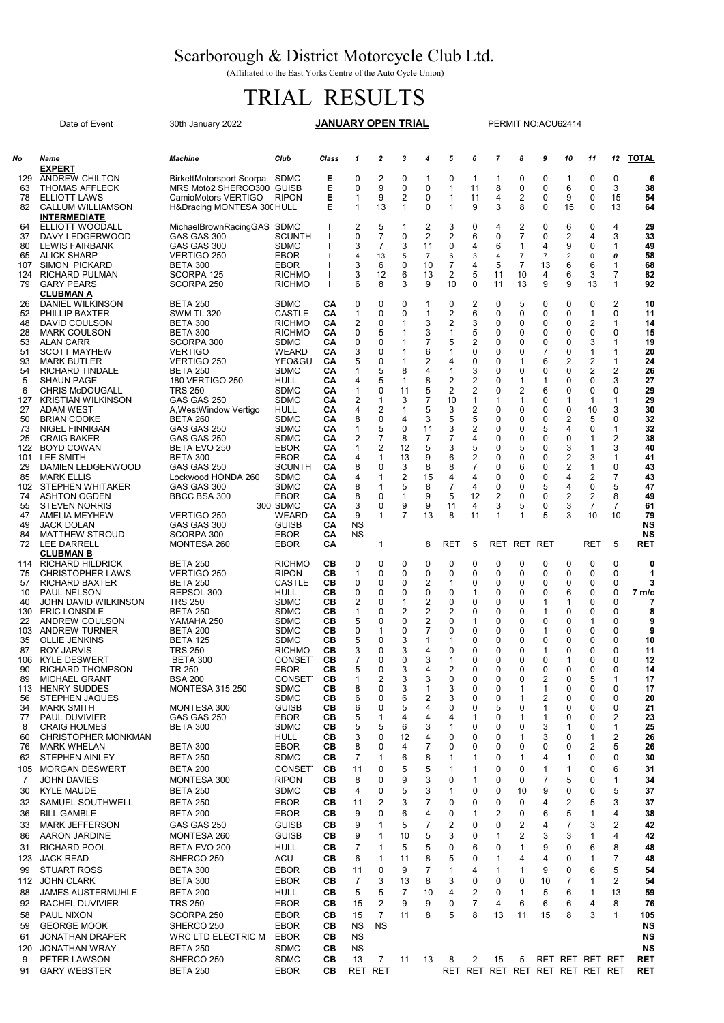## Scarborough & District Motorcycle Club Ltd.

(Affiliated to the East Yorks Centre of the Auto Cycle Union)

## TRIAL RESULTS

Date of Event 30th January 2022 **JANUARY OPEN TRIAL** PERMIT NO:ACU62414

61 JONATHAN DRAPER WRC LTD ELECTRIC M EBOR CB NS<br>120 JONATHAN WRAY BETA 250 SDMC CB NS

9 PETER LAWSON SHERCO 250 SDMC CB 13 7 11 13 8 2 15 5 RET RET RET RET RET 91 GARY WEBSTER BETA 250 EBOR CB RET RET RET RET RET RET RET RET RET RET RET

JONATHAN WRAY